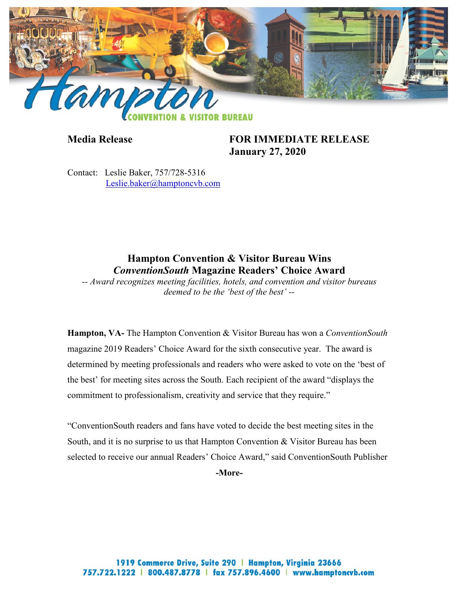

**Media Release FOR IMMEDIATE RELEASE January 27, 2020**

Contact: Leslie Baker, 757/728-5316 [Leslie.baker@hamptoncvb.com](mailto:Leslie.Baker@hamptoncvb.com)

## **Hampton Convention & Visitor Bureau Wins** *ConventionSouth* **Magazine Readers' Choice Award**

*-- Award recognizes meeting facilities, hotels, and convention and visitor bureaus deemed to be the 'best of the best' --*

**Hampton, VA-** The Hampton Convention & Visitor Bureau has won a *ConventionSouth*  magazine 2019 Readers' Choice Award for the sixth consecutive year. The award is determined by meeting professionals and readers who were asked to vote on the 'best of the best' for meeting sites across the South. Each recipient of the award "displays the commitment to professionalism, creativity and service that they require."

"ConventionSouth readers and fans have voted to decide the best meeting sites in the South, and it is no surprise to us that Hampton Convention & Visitor Bureau has been selected to receive our annual Readers' Choice Award," said ConventionSouth Publisher **-More-**